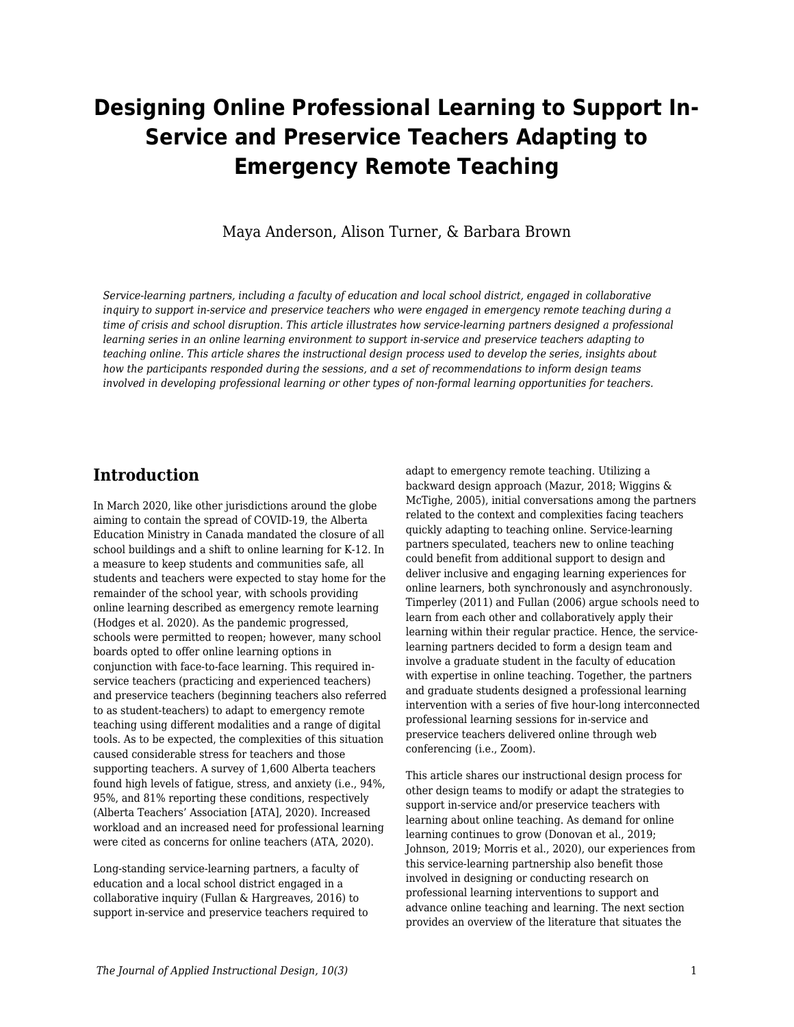# **Designing Online Professional Learning to Support In-Service and Preservice Teachers Adapting to Emergency Remote Teaching**

Maya Anderson, Alison Turner, & Barbara Brown

*Service-learning partners, including a faculty of education and local school district, engaged in collaborative inquiry to support in-service and preservice teachers who were engaged in emergency remote teaching during a time of crisis and school disruption. This article illustrates how service-learning partners designed a professional learning series in an online learning environment to support in-service and preservice teachers adapting to teaching online. This article shares the instructional design process used to develop the series, insights about how the participants responded during the sessions, and a set of recommendations to inform design teams involved in developing professional learning or other types of non-formal learning opportunities for teachers.*

### **Introduction**

In March 2020, like other jurisdictions around the globe aiming to contain the spread of COVID-19, the Alberta Education Ministry in Canada mandated the closure of all school buildings and a shift to online learning for K-12. In a measure to keep students and communities safe, all students and teachers were expected to stay home for the remainder of the school year, with schools providing online learning described as emergency remote learning (Hodges et al. 2020). As the pandemic progressed, schools were permitted to reopen; however, many school boards opted to offer online learning options in conjunction with face-to-face learning. This required inservice teachers (practicing and experienced teachers) and preservice teachers (beginning teachers also referred to as student-teachers) to adapt to emergency remote teaching using different modalities and a range of digital tools. As to be expected, the complexities of this situation caused considerable stress for teachers and those supporting teachers. A survey of 1,600 Alberta teachers found high levels of fatigue, stress, and anxiety (i.e., 94%, 95%, and 81% reporting these conditions, respectively (Alberta Teachers' Association [ATA], 2020). Increased workload and an increased need for professional learning were cited as concerns for online teachers (ATA, 2020).

Long-standing service-learning partners, a faculty of education and a local school district engaged in a collaborative inquiry (Fullan & Hargreaves, 2016) to support in-service and preservice teachers required to adapt to emergency remote teaching. Utilizing a backward design approach (Mazur, 2018; Wiggins & McTighe, 2005), initial conversations among the partners related to the context and complexities facing teachers quickly adapting to teaching online. Service-learning partners speculated, teachers new to online teaching could benefit from additional support to design and deliver inclusive and engaging learning experiences for online learners, both synchronously and asynchronously. Timperley (2011) and Fullan (2006) argue schools need to learn from each other and collaboratively apply their learning within their regular practice. Hence, the servicelearning partners decided to form a design team and involve a graduate student in the faculty of education with expertise in online teaching. Together, the partners and graduate students designed a professional learning intervention with a series of five hour-long interconnected professional learning sessions for in-service and preservice teachers delivered online through web conferencing (i.e., Zoom).

This article shares our instructional design process for other design teams to modify or adapt the strategies to support in-service and/or preservice teachers with learning about online teaching. As demand for online learning continues to grow (Donovan et al., 2019; Johnson, 2019; Morris et al., 2020), our experiences from this service-learning partnership also benefit those involved in designing or conducting research on professional learning interventions to support and advance online teaching and learning. The next section provides an overview of the literature that situates the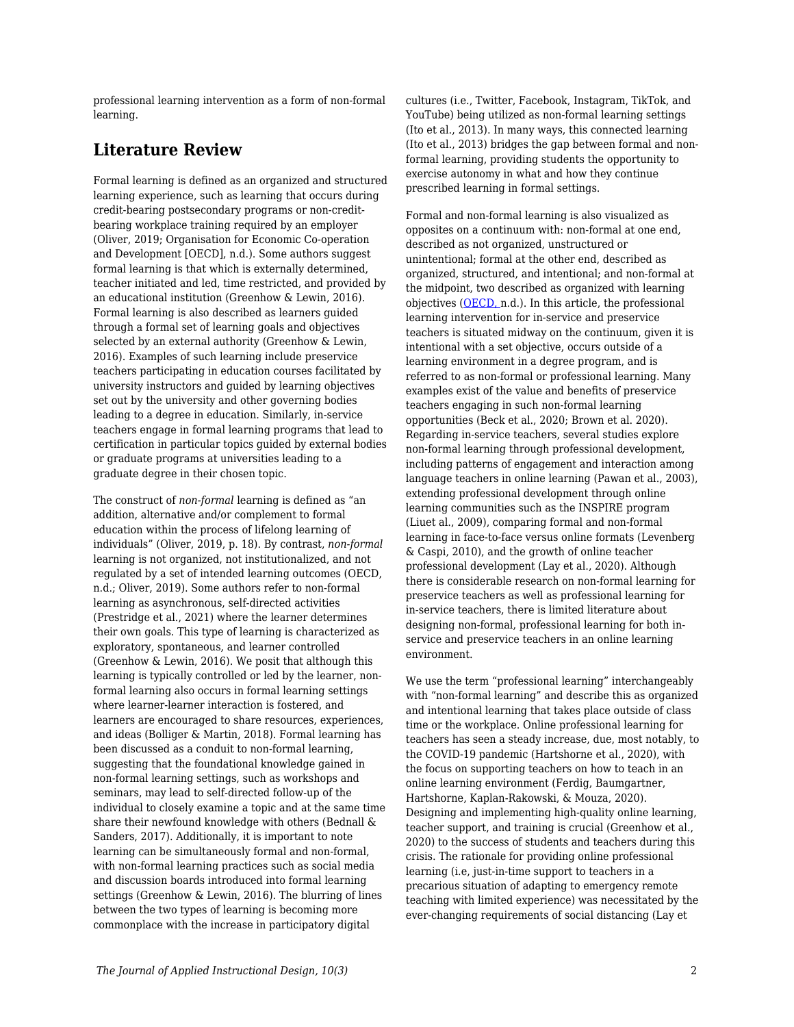professional learning intervention as a form of non-formal learning.

# **Literature Review**

Formal learning is defined as an organized and structured learning experience, such as learning that occurs during credit-bearing postsecondary programs or non-creditbearing workplace training required by an employer (Oliver, 2019; Organisation for Economic Co-operation and Development [OECD], n.d.). Some authors suggest formal learning is that which is externally determined, teacher initiated and led, time restricted, and provided by an educational institution (Greenhow & Lewin, 2016). Formal learning is also described as learners guided through a formal set of learning goals and objectives selected by an external authority (Greenhow & Lewin, 2016). Examples of such learning include preservice teachers participating in education courses facilitated by university instructors and guided by learning objectives set out by the university and other governing bodies leading to a degree in education. Similarly, in-service teachers engage in formal learning programs that lead to certification in particular topics guided by external bodies or graduate programs at universities leading to a graduate degree in their chosen topic.

The construct of *non-formal* learning is defined as "an addition, alternative and/or complement to formal education within the process of lifelong learning of individuals" (Oliver, 2019, p. 18). By contrast, *non-formal* learning is not organized, not institutionalized, and not regulated by a set of intended learning outcomes (OECD, n.d.; Oliver, 2019). Some authors refer to non-formal learning as asynchronous, self-directed activities (Prestridge et al., 2021) where the learner determines their own goals. This type of learning is characterized as exploratory, spontaneous, and learner controlled (Greenhow & Lewin, 2016). We posit that although this learning is typically controlled or led by the learner, nonformal learning also occurs in formal learning settings where learner-learner interaction is fostered, and learners are encouraged to share resources, experiences, and ideas (Bolliger & Martin, 2018). Formal learning has been discussed as a conduit to non-formal learning, suggesting that the foundational knowledge gained in non-formal learning settings, such as workshops and seminars, may lead to self-directed follow-up of the individual to closely examine a topic and at the same time share their newfound knowledge with others (Bednall & Sanders, 2017). Additionally, it is important to note learning can be simultaneously formal and non-formal, with non-formal learning practices such as social media and discussion boards introduced into formal learning settings (Greenhow & Lewin, 2016). The blurring of lines between the two types of learning is becoming more commonplace with the increase in participatory digital

cultures (i.e., Twitter, Facebook, Instagram, TikTok, and YouTube) being utilized as non-formal learning settings (Ito et al., 2013). In many ways, this connected learning (Ito et al., 2013) bridges the gap between formal and nonformal learning, providing students the opportunity to exercise autonomy in what and how they continue prescribed learning in formal settings.

Formal and non-formal learning is also visualized as opposites on a continuum with: non-formal at one end, described as not organized, unstructured or unintentional; formal at the other end, described as organized, structured, and intentional; and non-formal at the midpoint, two described as organized with learning objectives [\(OECD,](http://www.oecd.org/education/skills-beyond-school/recognitionofnon-formalandinformallearning-home.htm) n.d.). In this article, the professional learning intervention for in-service and preservice teachers is situated midway on the continuum, given it is intentional with a set objective, occurs outside of a learning environment in a degree program, and is referred to as non-formal or professional learning. Many examples exist of the value and benefits of preservice teachers engaging in such non-formal learning opportunities (Beck et al., 2020; Brown et al. 2020). Regarding in-service teachers, several studies explore non-formal learning through professional development, including patterns of engagement and interaction among language teachers in online learning (Pawan et al., 2003), extending professional development through online learning communities such as the INSPIRE program (Liuet al., 2009), comparing formal and non-formal learning in face-to-face versus online formats (Levenberg & Caspi, 2010), and the growth of online teacher professional development (Lay et al., 2020). Although there is considerable research on non-formal learning for preservice teachers as well as professional learning for in-service teachers, there is limited literature about designing non-formal, professional learning for both inservice and preservice teachers in an online learning environment.

We use the term "professional learning" interchangeably with "non-formal learning" and describe this as organized and intentional learning that takes place outside of class time or the workplace. Online professional learning for teachers has seen a steady increase, due, most notably, to the COVID-19 pandemic (Hartshorne et al., 2020), with the focus on supporting teachers on how to teach in an online learning environment (Ferdig, Baumgartner, Hartshorne, Kaplan-Rakowski, & Mouza, 2020). Designing and implementing high-quality online learning, teacher support, and training is crucial (Greenhow et al., 2020) to the success of students and teachers during this crisis. The rationale for providing online professional learning (i.e, just-in-time support to teachers in a precarious situation of adapting to emergency remote teaching with limited experience) was necessitated by the ever-changing requirements of social distancing (Lay et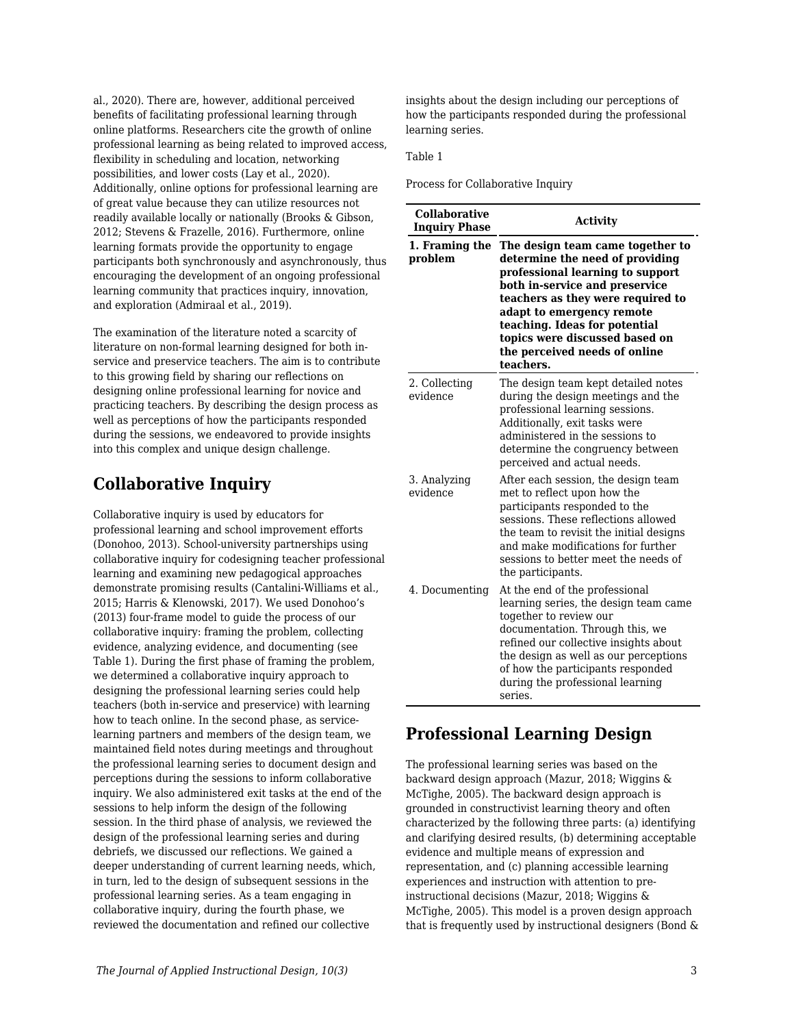al., 2020). There are, however, additional perceived benefits of facilitating professional learning through online platforms. Researchers cite the growth of online professional learning as being related to improved access, flexibility in scheduling and location, networking possibilities, and lower costs (Lay et al., 2020). Additionally, online options for professional learning are of great value because they can utilize resources not readily available locally or nationally (Brooks & Gibson, 2012; Stevens & Frazelle, 2016). Furthermore, online learning formats provide the opportunity to engage participants both synchronously and asynchronously, thus encouraging the development of an ongoing professional learning community that practices inquiry, innovation, and exploration (Admiraal et al., 2019).

The examination of the literature noted a scarcity of literature on non-formal learning designed for both inservice and preservice teachers. The aim is to contribute to this growing field by sharing our reflections on designing online professional learning for novice and practicing teachers. By describing the design process as well as perceptions of how the participants responded during the sessions, we endeavored to provide insights into this complex and unique design challenge.

# **Collaborative Inquiry**

Collaborative inquiry is used by educators for professional learning and school improvement efforts (Donohoo, 2013). School-university partnerships using collaborative inquiry for codesigning teacher professional learning and examining new pedagogical approaches demonstrate promising results (Cantalini-Williams et al., 2015; Harris & Klenowski, 2017). We used Donohoo's (2013) four-frame model to guide the process of our collaborative inquiry: framing the problem, collecting evidence, analyzing evidence, and documenting (see Table 1). During the first phase of framing the problem, we determined a collaborative inquiry approach to designing the professional learning series could help teachers (both in-service and preservice) with learning how to teach online. In the second phase, as servicelearning partners and members of the design team, we maintained field notes during meetings and throughout the professional learning series to document design and perceptions during the sessions to inform collaborative inquiry. We also administered exit tasks at the end of the sessions to help inform the design of the following session. In the third phase of analysis, we reviewed the design of the professional learning series and during debriefs, we discussed our reflections. We gained a deeper understanding of current learning needs, which, in turn, led to the design of subsequent sessions in the professional learning series. As a team engaging in collaborative inquiry, during the fourth phase, we reviewed the documentation and refined our collective

insights about the design including our perceptions of how the participants responded during the professional learning series.

#### Table 1

Process for Collaborative Inquiry

| <b>Collaborative</b><br><b>Inquiry Phase</b> | <b>Activity</b>                                                                                                                                                                                                                                                                                                              |  |
|----------------------------------------------|------------------------------------------------------------------------------------------------------------------------------------------------------------------------------------------------------------------------------------------------------------------------------------------------------------------------------|--|
| 1. Framing the<br>problem                    | The design team came together to<br>determine the need of providing<br>professional learning to support<br>both in-service and preservice<br>teachers as they were required to<br>adapt to emergency remote<br>teaching. Ideas for potential<br>topics were discussed based on<br>the perceived needs of online<br>teachers. |  |
| 2. Collecting<br>evidence                    | The design team kept detailed notes<br>during the design meetings and the<br>professional learning sessions.<br>Additionally, exit tasks were<br>administered in the sessions to<br>determine the congruency between<br>perceived and actual needs.                                                                          |  |
| 3. Analyzing<br>evidence                     | After each session, the design team<br>met to reflect upon how the<br>participants responded to the<br>sessions. These reflections allowed<br>the team to revisit the initial designs<br>and make modifications for further<br>sessions to better meet the needs of<br>the participants.                                     |  |
| 4. Documenting                               | At the end of the professional<br>learning series, the design team came<br>together to review our<br>documentation. Through this, we<br>refined our collective insights about<br>the design as well as our perceptions<br>of how the participants responded<br>during the professional learning<br>series.                   |  |

# **Professional Learning Design**

The professional learning series was based on the backward design approach (Mazur, 2018; Wiggins & McTighe, 2005). The backward design approach is grounded in constructivist learning theory and often characterized by the following three parts: (a) identifying and clarifying desired results, (b) determining acceptable evidence and multiple means of expression and representation, and (c) planning accessible learning experiences and instruction with attention to preinstructional decisions (Mazur, 2018; Wiggins & McTighe, 2005). This model is a proven design approach that is frequently used by instructional designers (Bond &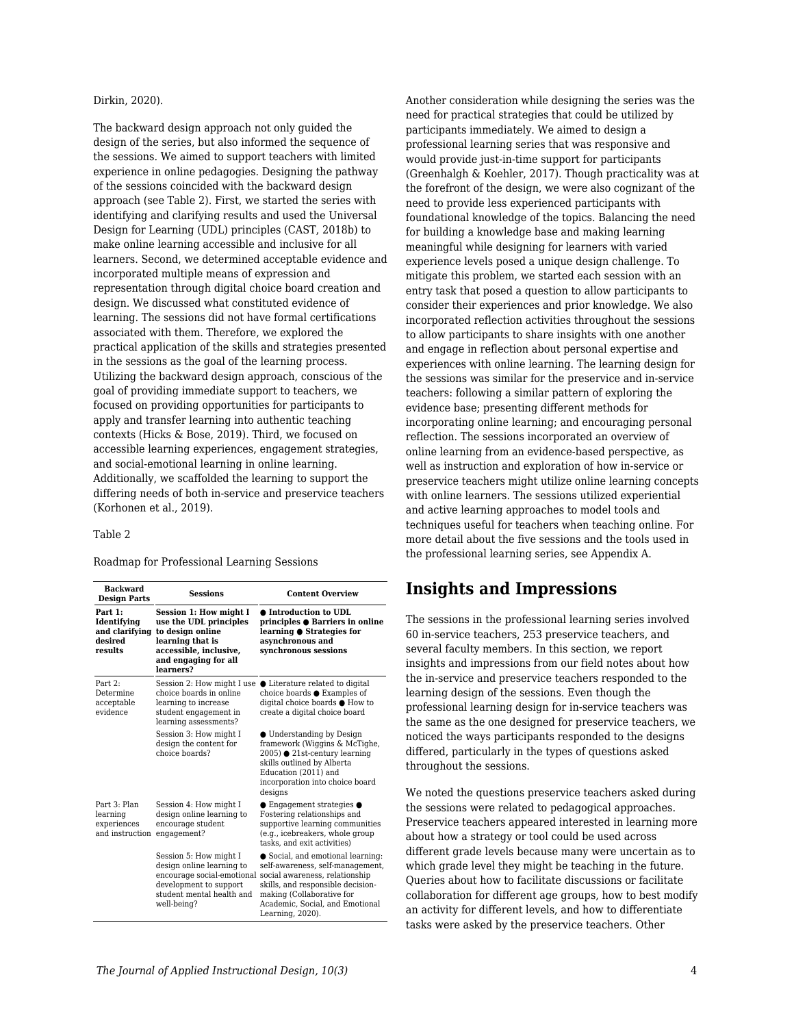#### Dirkin, 2020).

The backward design approach not only guided the design of the series, but also informed the sequence of the sessions. We aimed to support teachers with limited experience in online pedagogies. Designing the pathway of the sessions coincided with the backward design approach (see Table 2). First, we started the series with identifying and clarifying results and used the Universal Design for Learning (UDL) principles (CAST, 2018b) to make online learning accessible and inclusive for all learners. Second, we determined acceptable evidence and incorporated multiple means of expression and representation through digital choice board creation and design. We discussed what constituted evidence of learning. The sessions did not have formal certifications associated with them. Therefore, we explored the practical application of the skills and strategies presented in the sessions as the goal of the learning process. Utilizing the backward design approach, conscious of the goal of providing immediate support to teachers, we focused on providing opportunities for participants to apply and transfer learning into authentic teaching contexts (Hicks & Bose, 2019). Third, we focused on accessible learning experiences, engagement strategies, and social-emotional learning in online learning. Additionally, we scaffolded the learning to support the differing needs of both in-service and preservice teachers (Korhonen et al., 2019).

#### Table 2

Roadmap for Professional Learning Sessions

| <b>Backward</b><br><b>Design Parts</b>                         | <b>Sessions</b>                                                                                                                                         | <b>Content Overview</b>                                                                                                                                                                                                        |
|----------------------------------------------------------------|---------------------------------------------------------------------------------------------------------------------------------------------------------|--------------------------------------------------------------------------------------------------------------------------------------------------------------------------------------------------------------------------------|
| Part 1:<br>Identifying<br>and clarifying<br>desired<br>results | Session 1: How might I<br>use the UDL principles<br>to design online<br>learning that is<br>accessible, inclusive,<br>and engaging for all<br>learners? | ● Introduction to UDL<br>principles $\bullet$ Barriers in online<br>learning $\bullet$ Strategies for<br>asynchronous and<br>synchronous sessions                                                                              |
| Part $2:$<br>Determine<br>acceptable<br>evidence               | Session 2: How might I use<br>choice boards in online<br>learning to increase<br>student engagement in<br>learning assessments?                         | $\bullet$ Literature related to digital<br>choice boards $\bullet$ Examples of<br>digital choice boards ● How to<br>create a digital choice board                                                                              |
|                                                                | Session 3: How might I<br>design the content for<br>choice boards?                                                                                      | • Understanding by Design<br>framework (Wiggins & McTighe,<br>2005) ● 21st-century learning<br>skills outlined by Alberta<br>Education (2011) and<br>incorporation into choice board<br>designs                                |
| Part 3: Plan<br>learning<br>experiences<br>and instruction     | Session 4: How might I<br>design online learning to<br>encourage student<br>engagement?                                                                 | $\bullet$ Engagement strategies $\bullet$<br>Fostering relationships and<br>supportive learning communities<br>(e.g., icebreakers, whole group<br>tasks, and exit activities)                                                  |
|                                                                | Session 5: How might I<br>design online learning to<br>encourage social-emotional<br>development to support<br>student mental health and<br>well-being? | Social, and emotional learning:<br>self-awareness, self-management,<br>social awareness, relationship<br>skills, and responsible decision-<br>making (Collaborative for<br>Academic, Social, and Emotional<br>Learning, 2020). |

Another consideration while designing the series was the need for practical strategies that could be utilized by participants immediately. We aimed to design a professional learning series that was responsive and would provide just-in-time support for participants (Greenhalgh & Koehler, 2017). Though practicality was at the forefront of the design, we were also cognizant of the need to provide less experienced participants with foundational knowledge of the topics. Balancing the need for building a knowledge base and making learning meaningful while designing for learners with varied experience levels posed a unique design challenge. To mitigate this problem, we started each session with an entry task that posed a question to allow participants to consider their experiences and prior knowledge. We also incorporated reflection activities throughout the sessions to allow participants to share insights with one another and engage in reflection about personal expertise and experiences with online learning. The learning design for the sessions was similar for the preservice and in-service teachers: following a similar pattern of exploring the evidence base; presenting different methods for incorporating online learning; and encouraging personal reflection. The sessions incorporated an overview of online learning from an evidence-based perspective, as well as instruction and exploration of how in-service or preservice teachers might utilize online learning concepts with online learners. The sessions utilized experiential and active learning approaches to model tools and techniques useful for teachers when teaching online. For more detail about the five sessions and the tools used in the professional learning series, see Appendix A.

### **Insights and Impressions**

The sessions in the professional learning series involved 60 in-service teachers, 253 preservice teachers, and several faculty members. In this section, we report insights and impressions from our field notes about how the in-service and preservice teachers responded to the learning design of the sessions. Even though the professional learning design for in-service teachers was the same as the one designed for preservice teachers, we noticed the ways participants responded to the designs differed, particularly in the types of questions asked throughout the sessions.

We noted the questions preservice teachers asked during the sessions were related to pedagogical approaches. Preservice teachers appeared interested in learning more about how a strategy or tool could be used across different grade levels because many were uncertain as to which grade level they might be teaching in the future. Queries about how to facilitate discussions or facilitate collaboration for different age groups, how to best modify an activity for different levels, and how to differentiate tasks were asked by the preservice teachers. Other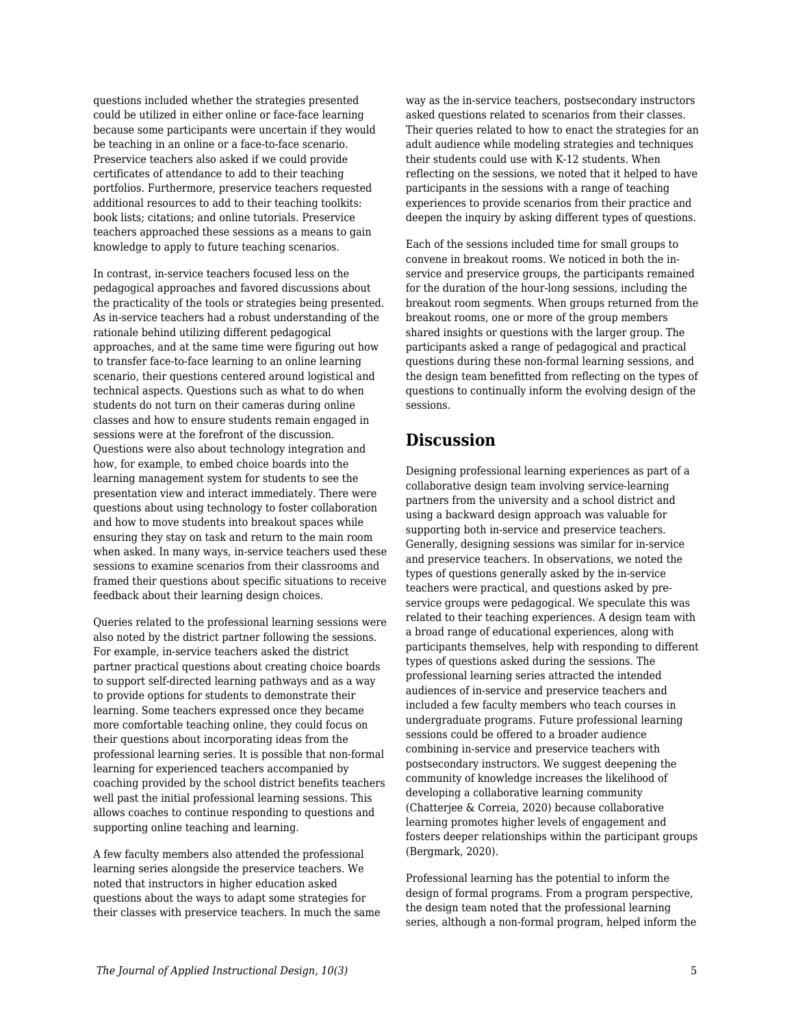questions included whether the strategies presented could be utilized in either online or face-face learning because some participants were uncertain if they would be teaching in an online or a face-to-face scenario. Preservice teachers also asked if we could provide certificates of attendance to add to their teaching portfolios. Furthermore, preservice teachers requested additional resources to add to their teaching toolkits: book lists; citations; and online tutorials. Preservice teachers approached these sessions as a means to gain knowledge to apply to future teaching scenarios.

In contrast, in-service teachers focused less on the pedagogical approaches and favored discussions about the practicality of the tools or strategies being presented. As in-service teachers had a robust understanding of the rationale behind utilizing different pedagogical approaches, and at the same time were figuring out how to transfer face-to-face learning to an online learning scenario, their questions centered around logistical and technical aspects. Questions such as what to do when students do not turn on their cameras during online classes and how to ensure students remain engaged in sessions were at the forefront of the discussion. Questions were also about technology integration and how, for example, to embed choice boards into the learning management system for students to see the presentation view and interact immediately. There were questions about using technology to foster collaboration and how to move students into breakout spaces while ensuring they stay on task and return to the main room when asked. In many ways, in-service teachers used these sessions to examine scenarios from their classrooms and framed their questions about specific situations to receive feedback about their learning design choices.

Queries related to the professional learning sessions were also noted by the district partner following the sessions. For example, in-service teachers asked the district partner practical questions about creating choice boards to support self-directed learning pathways and as a way to provide options for students to demonstrate their learning*.* Some teachers expressed once they became more comfortable teaching online, they could focus on their questions about incorporating ideas from the professional learning series. It is possible that non-formal learning for experienced teachers accompanied by coaching provided by the school district benefits teachers well past the initial professional learning sessions. This allows coaches to continue responding to questions and supporting online teaching and learning.

A few faculty members also attended the professional learning series alongside the preservice teachers. We noted that instructors in higher education asked questions about the ways to adapt some strategies for their classes with preservice teachers. In much the same way as the in-service teachers, postsecondary instructors asked questions related to scenarios from their classes. Their queries related to how to enact the strategies for an adult audience while modeling strategies and techniques their students could use with K-12 students. When reflecting on the sessions, we noted that it helped to have participants in the sessions with a range of teaching experiences to provide scenarios from their practice and deepen the inquiry by asking different types of questions.

Each of the sessions included time for small groups to convene in breakout rooms. We noticed in both the inservice and preservice groups, the participants remained for the duration of the hour-long sessions, including the breakout room segments. When groups returned from the breakout rooms, one or more of the group members shared insights or questions with the larger group. The participants asked a range of pedagogical and practical questions during these non-formal learning sessions, and the design team benefitted from reflecting on the types of questions to continually inform the evolving design of the sessions.

## **Discussion**

Designing professional learning experiences as part of a collaborative design team involving service-learning partners from the university and a school district and using a backward design approach was valuable for supporting both in-service and preservice teachers. Generally, designing sessions was similar for in-service and preservice teachers. In observations, we noted the types of questions generally asked by the in-service teachers were practical, and questions asked by preservice groups were pedagogical. We speculate this was related to their teaching experiences. A design team with a broad range of educational experiences, along with participants themselves, help with responding to different types of questions asked during the sessions. The professional learning series attracted the intended audiences of in-service and preservice teachers and included a few faculty members who teach courses in undergraduate programs. Future professional learning sessions could be offered to a broader audience combining in-service and preservice teachers with postsecondary instructors. We suggest deepening the community of knowledge increases the likelihood of developing a collaborative learning community (Chatterjee & Correia, 2020) because collaborative learning promotes higher levels of engagement and fosters deeper relationships within the participant groups (Bergmark, 2020).

Professional learning has the potential to inform the design of formal programs. From a program perspective, the design team noted that the professional learning series, although a non-formal program, helped inform the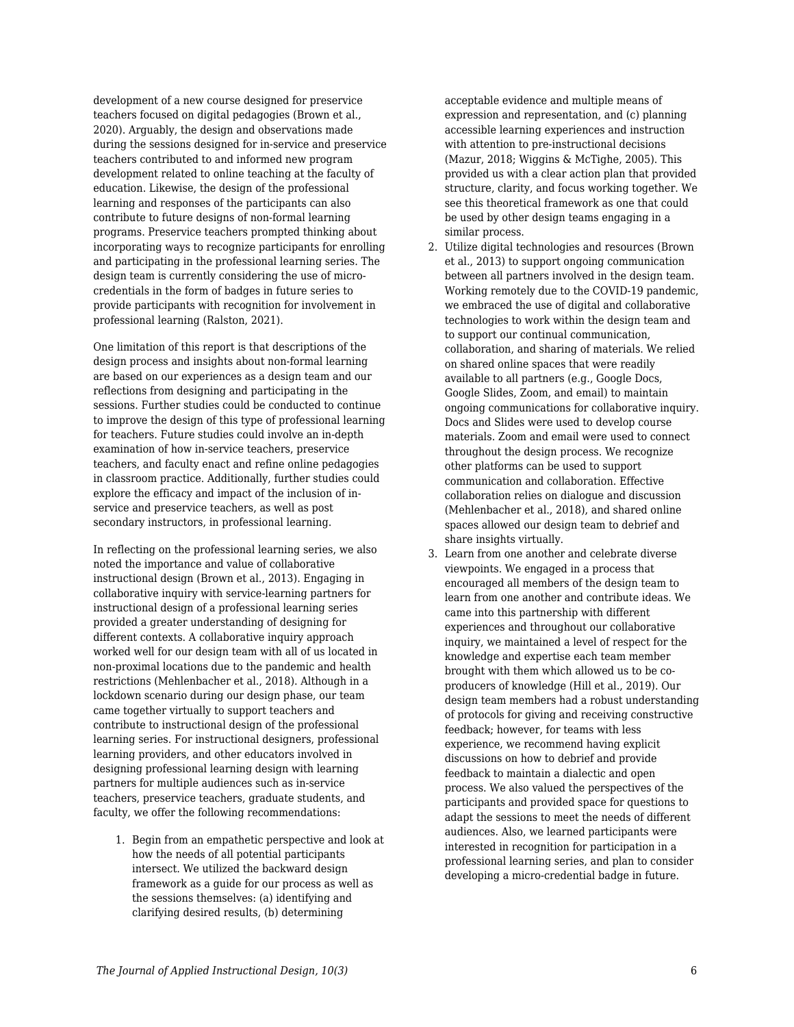development of a new course designed for preservice teachers focused on digital pedagogies (Brown et al., 2020). Arguably, the design and observations made during the sessions designed for in-service and preservice teachers contributed to and informed new program development related to online teaching at the faculty of education. Likewise, the design of the professional learning and responses of the participants can also contribute to future designs of non-formal learning programs. Preservice teachers prompted thinking about incorporating ways to recognize participants for enrolling and participating in the professional learning series. The design team is currently considering the use of microcredentials in the form of badges in future series to provide participants with recognition for involvement in professional learning (Ralston, 2021).

One limitation of this report is that descriptions of the design process and insights about non-formal learning are based on our experiences as a design team and our reflections from designing and participating in the sessions. Further studies could be conducted to continue to improve the design of this type of professional learning for teachers. Future studies could involve an in-depth examination of how in-service teachers, preservice teachers, and faculty enact and refine online pedagogies in classroom practice. Additionally, further studies could explore the efficacy and impact of the inclusion of inservice and preservice teachers, as well as post secondary instructors, in professional learning.

In reflecting on the professional learning series, we also noted the importance and value of collaborative instructional design (Brown et al., 2013). Engaging in collaborative inquiry with service-learning partners for instructional design of a professional learning series provided a greater understanding of designing for different contexts. A collaborative inquiry approach worked well for our design team with all of us located in non-proximal locations due to the pandemic and health restrictions (Mehlenbacher et al., 2018). Although in a lockdown scenario during our design phase, our team came together virtually to support teachers and contribute to instructional design of the professional learning series. For instructional designers, professional learning providers, and other educators involved in designing professional learning design with learning partners for multiple audiences such as in-service teachers, preservice teachers, graduate students, and faculty, we offer the following recommendations:

1. Begin from an empathetic perspective and look at how the needs of all potential participants intersect. We utilized the backward design framework as a guide for our process as well as the sessions themselves: (a) identifying and clarifying desired results, (b) determining

acceptable evidence and multiple means of expression and representation, and (c) planning accessible learning experiences and instruction with attention to pre-instructional decisions (Mazur, 2018; Wiggins & McTighe, 2005). This provided us with a clear action plan that provided structure, clarity, and focus working together. We see this theoretical framework as one that could be used by other design teams engaging in a similar process.

- 2. Utilize digital technologies and resources (Brown et al., 2013) to support ongoing communication between all partners involved in the design team. Working remotely due to the COVID-19 pandemic, we embraced the use of digital and collaborative technologies to work within the design team and to support our continual communication, collaboration, and sharing of materials. We relied on shared online spaces that were readily available to all partners (e.g., Google Docs, Google Slides, Zoom, and email) to maintain ongoing communications for collaborative inquiry. Docs and Slides were used to develop course materials. Zoom and email were used to connect throughout the design process. We recognize other platforms can be used to support communication and collaboration. Effective collaboration relies on dialogue and discussion (Mehlenbacher et al., 2018), and shared online spaces allowed our design team to debrief and share insights virtually.
- 3. Learn from one another and celebrate diverse viewpoints. We engaged in a process that encouraged all members of the design team to learn from one another and contribute ideas. We came into this partnership with different experiences and throughout our collaborative inquiry, we maintained a level of respect for the knowledge and expertise each team member brought with them which allowed us to be coproducers of knowledge (Hill et al., 2019). Our design team members had a robust understanding of protocols for giving and receiving constructive feedback; however, for teams with less experience, we recommend having explicit discussions on how to debrief and provide feedback to maintain a dialectic and open process. We also valued the perspectives of the participants and provided space for questions to adapt the sessions to meet the needs of different audiences. Also, we learned participants were interested in recognition for participation in a professional learning series, and plan to consider developing a micro-credential badge in future.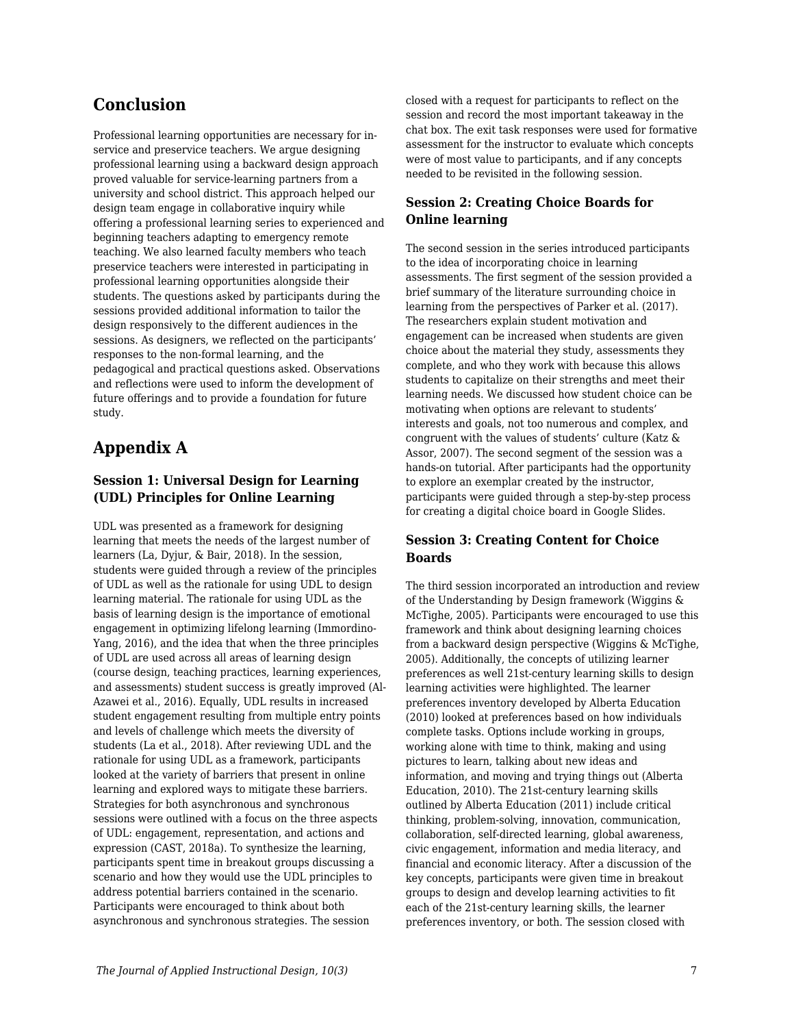# **Conclusion**

Professional learning opportunities are necessary for inservice and preservice teachers. We argue designing professional learning using a backward design approach proved valuable for service-learning partners from a university and school district. This approach helped our design team engage in collaborative inquiry while offering a professional learning series to experienced and beginning teachers adapting to emergency remote teaching. We also learned faculty members who teach preservice teachers were interested in participating in professional learning opportunities alongside their students. The questions asked by participants during the sessions provided additional information to tailor the design responsively to the different audiences in the sessions. As designers, we reflected on the participants' responses to the non-formal learning, and the pedagogical and practical questions asked. Observations and reflections were used to inform the development of future offerings and to provide a foundation for future study.

# **Appendix A**

#### **Session 1: Universal Design for Learning (UDL) Principles for Online Learning**

UDL was presented as a framework for designing learning that meets the needs of the largest number of learners (La, Dyjur, & Bair, 2018). In the session, students were guided through a review of the principles of UDL as well as the rationale for using UDL to design learning material. The rationale for using UDL as the basis of learning design is the importance of emotional engagement in optimizing lifelong learning (Immordino-Yang, 2016), and the idea that when the three principles of UDL are used across all areas of learning design (course design, teaching practices, learning experiences, and assessments) student success is greatly improved (Al-Azawei et al., 2016). Equally, UDL results in increased student engagement resulting from multiple entry points and levels of challenge which meets the diversity of students (La et al., 2018). After reviewing UDL and the rationale for using UDL as a framework, participants looked at the variety of barriers that present in online learning and explored ways to mitigate these barriers. Strategies for both asynchronous and synchronous sessions were outlined with a focus on the three aspects of UDL: engagement, representation, and actions and expression (CAST, 2018a). To synthesize the learning, participants spent time in breakout groups discussing a scenario and how they would use the UDL principles to address potential barriers contained in the scenario. Participants were encouraged to think about both asynchronous and synchronous strategies. The session

closed with a request for participants to reflect on the session and record the most important takeaway in the chat box. The exit task responses were used for formative assessment for the instructor to evaluate which concepts were of most value to participants, and if any concepts needed to be revisited in the following session.

### **Session 2: Creating Choice Boards for Online learning**

The second session in the series introduced participants to the idea of incorporating choice in learning assessments. The first segment of the session provided a brief summary of the literature surrounding choice in learning from the perspectives of Parker et al. (2017). The researchers explain student motivation and engagement can be increased when students are given choice about the material they study, assessments they complete, and who they work with because this allows students to capitalize on their strengths and meet their learning needs. We discussed how student choice can be motivating when options are relevant to students' interests and goals, not too numerous and complex, and congruent with the values of students' culture (Katz & Assor, 2007). The second segment of the session was a hands-on tutorial. After participants had the opportunity to explore an exemplar created by the instructor, participants were guided through a step-by-step process for creating a digital choice board in Google Slides.

#### **Session 3: Creating Content for Choice Boards**

The third session incorporated an introduction and review of the Understanding by Design framework (Wiggins & McTighe, 2005). Participants were encouraged to use this framework and think about designing learning choices from a backward design perspective (Wiggins & McTighe, 2005). Additionally, the concepts of utilizing learner preferences as well 21st-century learning skills to design learning activities were highlighted. The learner preferences inventory developed by Alberta Education (2010) looked at preferences based on how individuals complete tasks. Options include working in groups, working alone with time to think, making and using pictures to learn, talking about new ideas and information, and moving and trying things out (Alberta Education, 2010). The 21st-century learning skills outlined by Alberta Education (2011) include critical thinking, problem-solving, innovation, communication, collaboration, self-directed learning, global awareness, civic engagement, information and media literacy, and financial and economic literacy. After a discussion of the key concepts, participants were given time in breakout groups to design and develop learning activities to fit each of the 21st-century learning skills, the learner preferences inventory, or both. The session closed with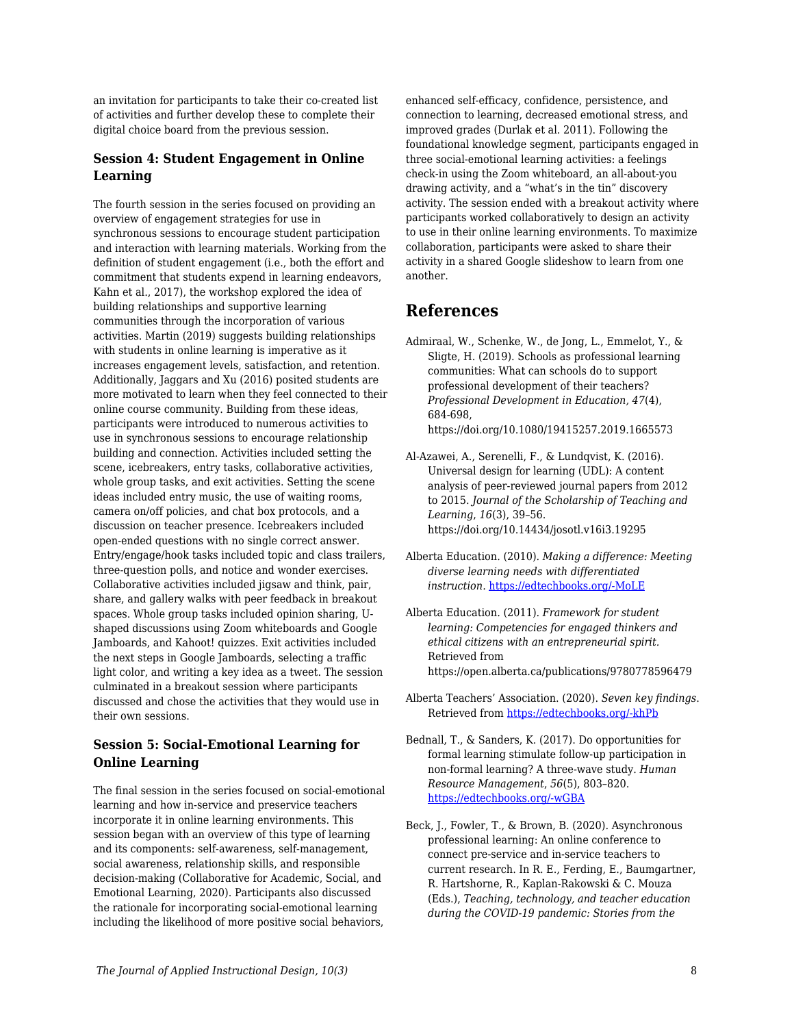an invitation for participants to take their co-created list of activities and further develop these to complete their digital choice board from the previous session.

#### **Session 4: Student Engagement in Online Learning**

The fourth session in the series focused on providing an overview of engagement strategies for use in synchronous sessions to encourage student participation and interaction with learning materials. Working from the definition of student engagement (i.e., both the effort and commitment that students expend in learning endeavors, Kahn et al., 2017), the workshop explored the idea of building relationships and supportive learning communities through the incorporation of various activities. Martin (2019) suggests building relationships with students in online learning is imperative as it increases engagement levels, satisfaction, and retention. Additionally, Jaggars and Xu (2016) posited students are more motivated to learn when they feel connected to their online course community. Building from these ideas, participants were introduced to numerous activities to use in synchronous sessions to encourage relationship building and connection. Activities included setting the scene, icebreakers, entry tasks, collaborative activities, whole group tasks, and exit activities. Setting the scene ideas included entry music, the use of waiting rooms, camera on/off policies, and chat box protocols, and a discussion on teacher presence. Icebreakers included open-ended questions with no single correct answer. Entry/engage/hook tasks included topic and class trailers, three-question polls, and notice and wonder exercises. Collaborative activities included jigsaw and think, pair, share, and gallery walks with peer feedback in breakout spaces. Whole group tasks included opinion sharing, Ushaped discussions using Zoom whiteboards and Google Jamboards, and Kahoot! quizzes. Exit activities included the next steps in Google Jamboards, selecting a traffic light color, and writing a key idea as a tweet. The session culminated in a breakout session where participants discussed and chose the activities that they would use in their own sessions.

#### **Session 5: Social-Emotional Learning for Online Learning**

The final session in the series focused on social-emotional learning and how in-service and preservice teachers incorporate it in online learning environments. This session began with an overview of this type of learning and its components: self-awareness, self-management, social awareness, relationship skills, and responsible decision-making (Collaborative for Academic, Social, and Emotional Learning, 2020). Participants also discussed the rationale for incorporating social-emotional learning including the likelihood of more positive social behaviors,

enhanced self-efficacy, confidence, persistence, and connection to learning, decreased emotional stress, and improved grades (Durlak et al. 2011). Following the foundational knowledge segment, participants engaged in three social-emotional learning activities: a feelings check-in using the Zoom whiteboard, an all-about-you drawing activity, and a "what's in the tin" discovery activity. The session ended with a breakout activity where participants worked collaboratively to design an activity to use in their online learning environments. To maximize collaboration, participants were asked to share their activity in a shared Google slideshow to learn from one another.

# **References**

- Admiraal, W., Schenke, W., de Jong, L., Emmelot, Y., & Sligte, H. (2019). Schools as professional learning communities: What can schools do to support professional development of their teachers? *Professional Development in Education, 47*(4), 684-698, https://doi.org/10.1080/19415257.2019.1665573
- Al-Azawei, A., Serenelli, F., & Lundqvist, K. (2016). Universal design for learning (UDL): A content analysis of peer-reviewed journal papers from 2012 to 2015. *Journal of the Scholarship of Teaching and Learning*, *16*(3), 39–56. https://doi.org/10.14434/josotl.v16i3.19295
- Alberta Education. (2010). *Making a difference: Meeting diverse learning needs with differentiated instruction*. [https://edtechbooks.org/-MoLE](https://education.alberta.ca/media/384968/makingadifference_2010.pdf)
- Alberta Education. (2011). *Framework for student learning: Competencies for engaged thinkers and ethical citizens with an entrepreneurial spirit.* Retrieved from https://open.alberta.ca/publications/9780778596479
- Alberta Teachers' Association. (2020). *Seven key findings*. Retrieved from [https://edtechbooks.org/-khPb](https://www.teachers.ab.ca/SiteCollectionDocuments/ATA/News%20and%20Info/Issues/COVID-19/Infographic%20-%20ATAPandemicPulseSurvey2.pdf)
- Bednall, T., & Sanders, K. (2017). Do opportunities for formal learning stimulate follow‐up participation in non-formal learning? A three‐wave study. *Human Resource Management*, *56*(5), 803–820. [https://edtechbooks.org/-wGBA](https://doi.org/10.1002/hrm.21800)
- Beck, J., Fowler, T., & Brown, B. (2020). Asynchronous professional learning: An online conference to connect pre-service and in-service teachers to current research. In R. E., Ferding, E., Baumgartner, R. Hartshorne, R., Kaplan-Rakowski & C. Mouza (Eds.), *Teaching, technology, and teacher education during the COVID-19 pandemic: Stories from the*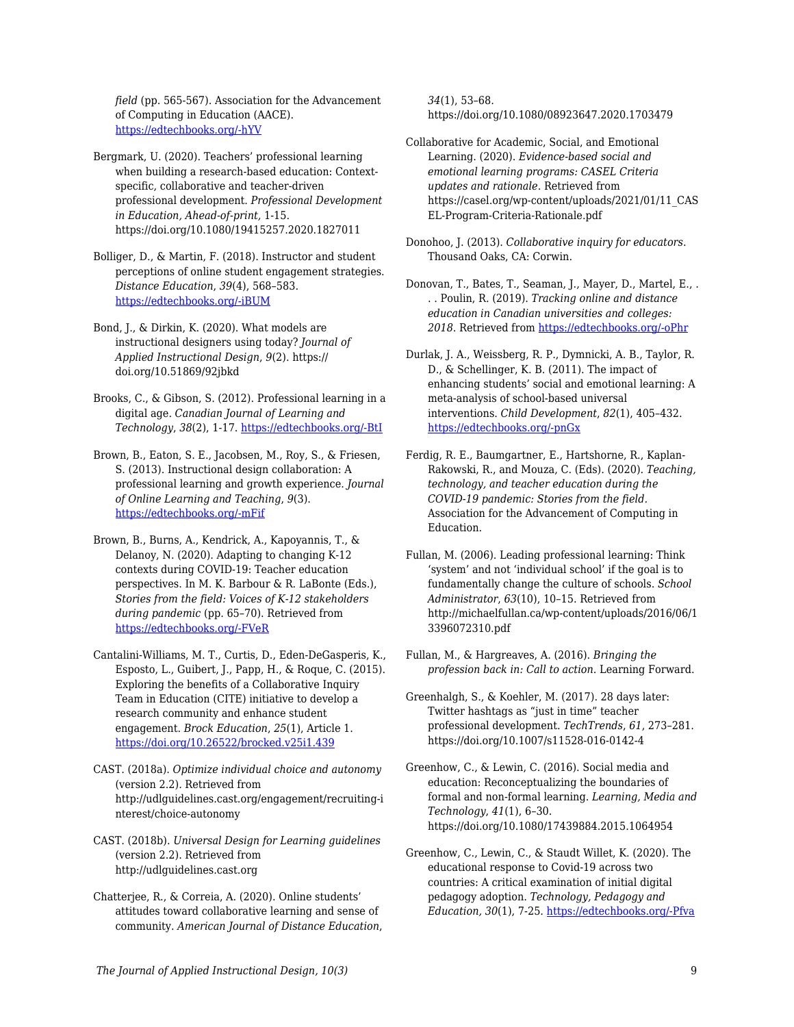*field* (pp. 565-567). Association for the Advancement of Computing in Education (AACE). [https://edtechbooks.org/-hYV](https://www.learntechlib.org/p/216903/)

Bergmark, U. (2020). Teachers' professional learning when building a research-based education: Contextspecific, collaborative and teacher-driven professional development. *Professional Development in Education, Ahead-of-print,* 1-15. https://doi.org/10.1080/19415257.2020.1827011

Bolliger, D., & Martin, F. (2018). Instructor and student perceptions of online student engagement strategies. *Distance Education*, *39*(4), 568–583. [https://edtechbooks.org/-iBUM](https://doi.org/10.1080/01587919.2018.1520041)

Bond, J., & Dirkin, K. (2020). What models are instructional designers using today? *Journal of Applied Instructional Design*, *9*(2). https:// doi.org/10.51869/92jbkd

Brooks, C., & Gibson, S. (2012). Professional learning in a digital age. *Canadian Journal of Learning and Technology*, *38*(2), 1-17. [https://edtechbooks.org/-BtI](https://doi.org/10.21432/T2HS3Q)

Brown, B., Eaton, S. E., Jacobsen, M., Roy, S., & Friesen, S. (2013). Instructional design collaboration: A professional learning and growth experience*. Journal of Online Learning and Teaching*, *9*(3). [https://edtechbooks.org/-mFif](https://jolt.merlot.org/vol9no3/brown_0913.htm)

Brown, B., Burns, A., Kendrick, A., Kapoyannis, T., & Delanoy, N. (2020). Adapting to changing K-12 contexts during COVID-19: Teacher education perspectives. In M. K. Barbour & R. LaBonte (Eds.), *Stories from the field: Voices of K-12 stakeholders during pandemic* (pp. 65–70). Retrieved from [https://edtechbooks.org/-FVeR](https://sites.google.com/view/canelearn-ert/)

Cantalini-Williams, M. T., Curtis, D., Eden-DeGasperis, K., Esposto, L., Guibert, J., Papp, H., & Roque, C. (2015). Exploring the benefits of a Collaborative Inquiry Team in Education (CITE) initiative to develop a research community and enhance student engagement. *Brock Education*, *25*(1), Article 1. <https://doi.org/10.26522/brocked.v25i1.439>

CAST. (2018a). *Optimize individual choice and autonomy* (version 2.2)*.* Retrieved from http://udlguidelines.cast.org/engagement/recruiting-i nterest/choice-autonomy

CAST. (2018b). *Universal Design for Learning guidelines* (version 2.2). Retrieved from http://udlguidelines.cast.org

Chatterjee, R., & Correia, A. (2020). Online students' attitudes toward collaborative learning and sense of community. *American Journal of Distance Education*,

*34*(1), 53–68. https://doi.org/10.1080/08923647.2020.1703479

Collaborative for Academic, Social, and Emotional Learning. (2020). *Evidence-based social and emotional learning programs: CASEL Criteria updates and rationale*. Retrieved from https://casel.org/wp-content/uploads/2021/01/11\_CAS EL-Program-Criteria-Rationale.pdf

Donohoo, J. (2013). *Collaborative inquiry for educators*. Thousand Oaks, CA: Corwin.

Donovan, T., Bates, T., Seaman, J., Mayer, D., Martel, E., . . . Poulin, R. (2019). *Tracking online and distance education in Canadian universities and colleges: 2018*. Retrieved from [https://edtechbooks.org/-oPhr](http://www.cdlra-acrfl.ca/wp-content/uploads/2020/07/2018_national_en.pdf)

Durlak, J. A., Weissberg, R. P., Dymnicki, A. B., Taylor, R. D., & Schellinger, K. B. (2011). The impact of enhancing students' social and emotional learning: A meta-analysis of school-based universal interventions. *Child Development*, *82*(1), 405–432. [https://edtechbooks.org/-pnGx](https://doi.org/10.1111/j.1467-8624.2010.01564.x)

Ferdig, R. E., Baumgartner, E., Hartshorne, R., Kaplan-Rakowski, R., and Mouza, C. (Eds). (2020). *Teaching, technology, and teacher education during the COVID-19 pandemic: Stories from the field.* Association for the Advancement of Computing in Education.

Fullan, M. (2006). Leading professional learning: Think 'system' and not 'individual school' if the goal is to fundamentally change the culture of schools. *School Administrator*, *63*(10), 10–15. Retrieved from http://michaelfullan.ca/wp-content/uploads/2016/06/1 3396072310.pdf

Fullan, M., & Hargreaves, A. (2016). *Bringing the profession back in: Call to action*. Learning Forward.

Greenhalgh, S., & Koehler, M. (2017). 28 days later: Twitter hashtags as "just in time" teacher professional development. *TechTrends*, *61*, 273–281. https://doi.org/10.1007/s11528-016-0142-4

Greenhow, C., & Lewin, C. (2016). Social media and education: Reconceptualizing the boundaries of formal and non-formal learning. *Learning, Media and Technology*, *41*(1), 6–30. https://doi.org/10.1080/17439884.2015.1064954

Greenhow, C., Lewin, C., & Staudt Willet, K. (2020). The educational response to Covid-19 across two countries: A critical examination of initial digital pedagogy adoption. *Technology, Pedagogy and Education, 30*(1), 7-25*.* [https://edtechbooks.org/-Pfva](https://doi.org/10.1080/1475939X.2020.1866654)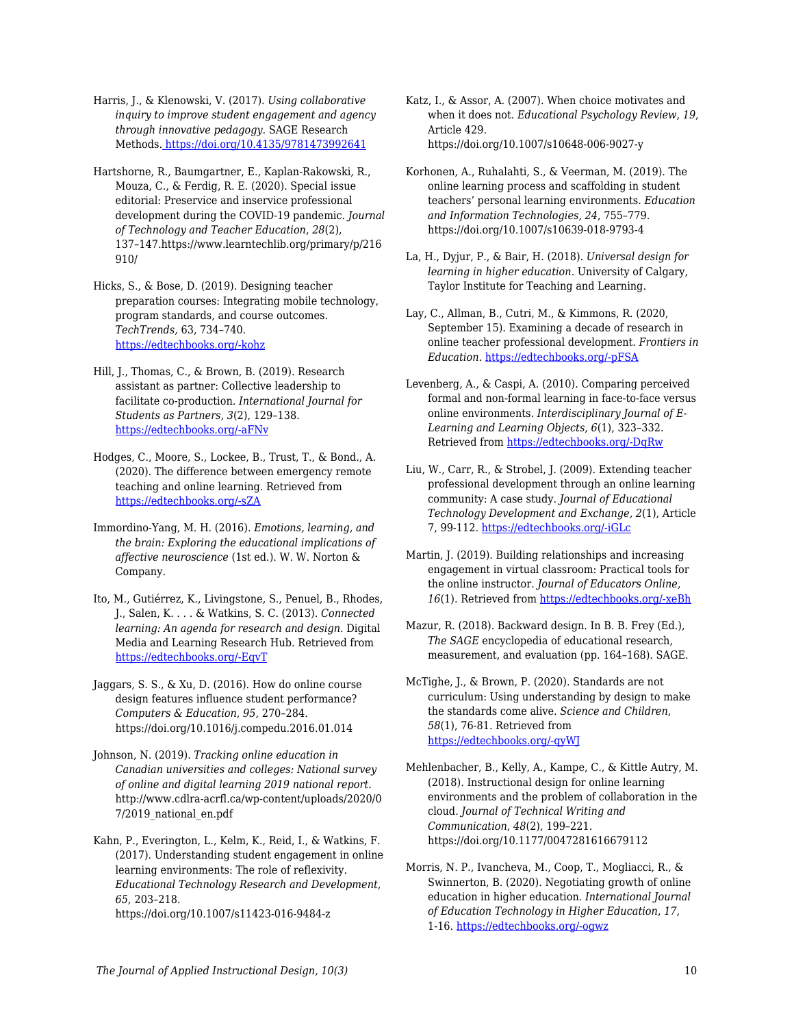Harris, J., & Klenowski, V. (2017). *Using collaborative inquiry to improve student engagement and agency through innovative pedagogy*. SAGE Research Methods[. https://doi.org/10.4135/9781473992641](https://doi.org/10.4135/9781473992641)

Hartshorne, R., Baumgartner, E., Kaplan-Rakowski, R., Mouza, C., & Ferdig, R. E. (2020). Special issue editorial: Preservice and inservice professional development during the COVID-19 pandemic. *Journal of Technology and Teacher Education*, *28*(2), 137–147.https://www.learntechlib.org/primary/p/216 910/

Hicks, S., & Bose, D. (2019). Designing teacher preparation courses: Integrating mobile technology, program standards, and course outcomes. *TechTrends,* 63, 734–740. [https://edtechbooks.org/-kohz](https://doi.org/10.1007/s11528-019-00416-z)

Hill, J., Thomas, C., & Brown, B. (2019). Research assistant as partner: Collective leadership to facilitate co-production. *International Journal for Students as Partners*, *3*(2), 129–138. [https://edtechbooks.org/-aFNv](https://doi.org/10.15173/ijsap.v3i2.3674)

Hodges, C., Moore, S., Lockee, B., Trust, T., & Bond., A. (2020). The difference between emergency remote teaching and online learning. Retrieved from [https://edtechbooks.org/-sZA](https://er.educause.edu/articles/2020/3/the-difference-between-emergency-remote-teaching-and-online-learning)

Immordino-Yang, M. H. (2016). *Emotions, learning, and the brain: Exploring the educational implications of affective neuroscience* (1st ed.). W. W. Norton & Company.

Ito, M., Gutiérrez, K., Livingstone, S., Penuel, B., Rhodes, J., Salen, K. . . . & Watkins, S. C. (2013). *Connected learning: An agenda for research and design*. Digital Media and Learning Research Hub. Retrieved from [https://edtechbooks.org/-EqvT](https://dmlhub.net/wpcontent/uploads/files/Connected_Learning_report.pdf)

Jaggars, S. S., & Xu, D. (2016). How do online course design features influence student performance? *Computers & Education*, *95*, 270–284. https://doi.org/10.1016/j.compedu.2016.01.014

Johnson, N. (2019). *Tracking online education in Canadian universities and colleges: National survey of online and digital learning 2019 national report*. http://www.cdlra-acrfl.ca/wp-content/uploads/2020/0 7/2019\_national\_en.pdf

Kahn, P., Everington, L., Kelm, K., Reid, I., & Watkins, F. (2017). Understanding student engagement in online learning environments: The role of reflexivity. *Educational Technology Research and Development*, *65*, 203–218.

https://doi.org/10.1007/s11423-016-9484-z

Katz, I., & Assor, A. (2007). When choice motivates and when it does not. *Educational Psychology Review*, *19*, Article 429. https://doi.org/10.1007/s10648-006-9027-y

Korhonen, A., Ruhalahti, S., & Veerman, M. (2019). The online learning process and scaffolding in student teachers' personal learning environments. *Education and Information Technologies, 24*, 755–779. https://doi.org/10.1007/s10639-018-9793-4

La, H., Dyjur, P., & Bair, H. (2018). *Universal design for learning in higher education*. University of Calgary, Taylor Institute for Teaching and Learning.

Lay, C., Allman, B., Cutri, M., & Kimmons, R. (2020, September 15). Examining a decade of research in online teacher professional development. *Frontiers in Education*. [https://edtechbooks.org/-pFSA](https://doi.org/10.3389/feduc.2020.573129)

Levenberg, A., & Caspi, A. (2010). Comparing perceived formal and non-formal learning in face-to-face versus online environments. *Interdisciplinary Journal of E-Learning and Learning Objects*, *6*(1), 323–332. Retrieved from [https://edtechbooks.org/-DqRw](https://www.learntechlib.org/p/44790)

Liu, W., Carr, R., & Strobel, J. (2009). Extending teacher professional development through an online learning community: A case study. *Journal of Educational Technology Development and Exchange, 2*(1), Article 7, 99-112. [https://edtechbooks.org/-iGLc](https://doi.org/10.18785/jetde.0201.07)

Martin, J. (2019). Building relationships and increasing engagement in virtual classroom: Practical tools for the online instructor. *Journal of Educators Online*, 16(1). Retrieved from [https://edtechbooks.org/-xeBh](https://www.thejeo.com/archive/2019_16_1/martin)

Mazur, R. (2018). Backward design. In B. B. Frey (Ed.), *The SAGE* encyclopedia of educational research, measurement, and evaluation (pp. 164–168). SAGE.

McTighe, J., & Brown, P. (2020). Standards are not curriculum: Using understanding by design to make the standards come alive. *Science and Children*, *58*(1), 76-81. Retrieved from [https://edtechbooks.org/-qyWJ](https://www.nsta.org/science-and-children/science-and-children-septemberoctober-2020/standards-are-not-curriculum)

Mehlenbacher, B., Kelly, A., Kampe, C., & Kittle Autry, M. (2018). Instructional design for online learning environments and the problem of collaboration in the cloud. *Journal of Technical Writing and Communication*, *48*(2), 199–221. https://doi.org/10.1177/0047281616679112

Morris, N. P., Ivancheva, M., Coop, T., Mogliacci, R., & Swinnerton, B*.* (2020). Negotiating growth of online education in higher education. *International Journal of Education Technology in Higher Education*, *17*, 1-16. [https://edtechbooks.org/-ogwz](https://doi.org/10.1186/s41239-020-00227-w)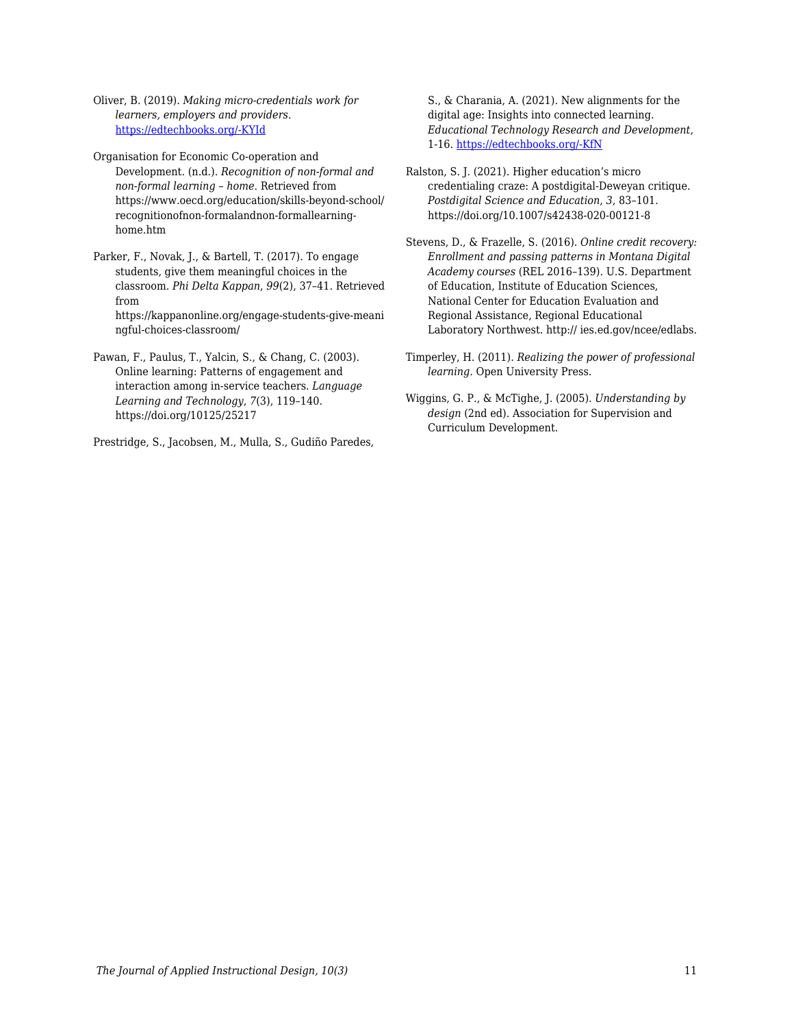Oliver, B. (2019). *Making micro-credentials work for learners, employers and providers*. [https://edtechbooks.org/-KYId](https://dteach.deakin.edu.au/wp-content/uploads/sites/103/2019/08/Making-micro-credentials-work-Oliver-Deakin-2019-full-report.pdf)

Organisation for Economic Co-operation and Development. (n.d.). *Recognition of non-formal and non-formal learning – home*. Retrieved from https://www.oecd.org/education/skills-beyond-school/ recognitionofnon-formalandnon-formallearninghome.htm

Parker, F., Novak, J., & Bartell, T. (2017). To engage students, give them meaningful choices in the classroom. *Phi Delta Kappan*, *99*(2), 37–41. Retrieved from https://kappanonline.org/engage-students-give-meani ngful-choices-classroom/

Pawan, F., Paulus, T., Yalcin, S., & Chang, C. (2003). Online learning: Patterns of engagement and interaction among in-service teachers. *Language Learning and Technology*, *7*(3), 119–140. https://doi.org/10125/25217

Prestridge, S., Jacobsen, M., Mulla, S., Gudiño Paredes,

S., & Charania, A. (2021). New alignments for the digital age: Insights into connected learning. *Educational Technology Research and Development*, 1-16. [https://edtechbooks.org/-KfN](https://doi.org/10.1007/s11423-021-09968-5)

Ralston, S. J. (2021). Higher education's micro credentialing craze: A postdigital-Deweyan critique. *Postdigital Science and Education*, *3*, 83–101. https://doi.org/10.1007/s42438-020-00121-8

Stevens, D., & Frazelle, S. (2016). *Online credit recovery: Enrollment and passing patterns in Montana Digital Academy courses* (REL 2016–139). U.S. Department of Education, Institute of Education Sciences, National Center for Education Evaluation and Regional Assistance, Regional Educational Laboratory Northwest. http:// ies.ed.gov/ncee/edlabs.

Timperley, H. (2011). *Realizing the power of professional learning.* Open University Press.

Wiggins, G. P., & McTighe, J. (2005). *Understanding by design* (2nd ed). Association for Supervision and Curriculum Development.